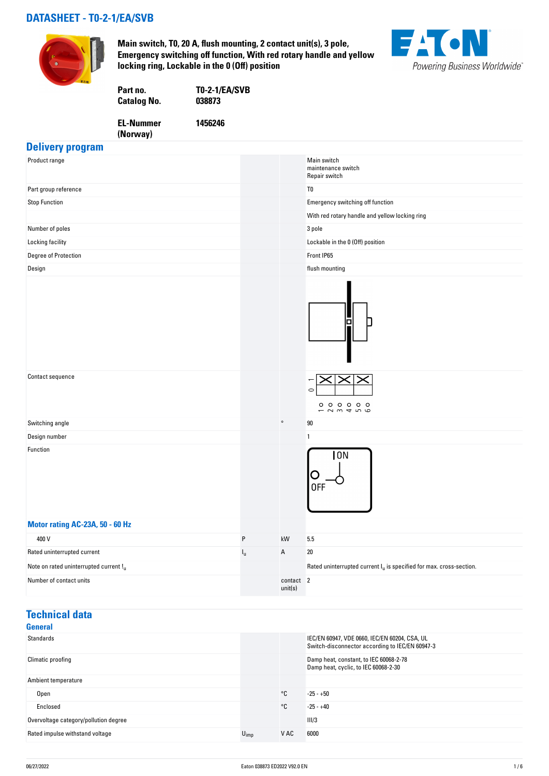## **DATASHEET - T0-2-1/EA/SVB**



**Main switch, T0, 20 A, flush mounting, 2 contact unit(s), 3 pole, Emergency switching off function, With red rotary handle and yellow locking ring, Lockable in the 0 (Off) position**



| Part no.           | <b>T0-2-1/EA/SVB</b> |
|--------------------|----------------------|
| <b>Catalog No.</b> | 038873               |
| <b>EL-Nummer</b>   | 1456246              |

**(Norway)** 

# **Delivery program**

| Product range                          |                           |                      | Main switch<br>maintenance switch<br>Repair switch                     |
|----------------------------------------|---------------------------|----------------------|------------------------------------------------------------------------|
| Part group reference                   |                           |                      | T <sub>0</sub>                                                         |
| <b>Stop Function</b>                   |                           |                      | Emergency switching off function                                       |
|                                        |                           |                      | With red rotary handle and yellow locking ring                         |
| Number of poles                        |                           |                      | 3 pole                                                                 |
| Locking facility                       |                           |                      | Lockable in the 0 (Off) position                                       |
| Degree of Protection                   |                           |                      | Front IP65                                                             |
| Design                                 |                           |                      | flush mounting                                                         |
|                                        |                           |                      |                                                                        |
| Contact sequence                       |                           |                      | $\circ$<br>000000<br>23456                                             |
| Switching angle                        |                           | $\circ$              | 90                                                                     |
| Design number                          |                           |                      | 1                                                                      |
| Function                               |                           |                      | 10N<br>0FF                                                             |
| Motor rating AC-23A, 50 - 60 Hz        |                           |                      |                                                                        |
| 400 V                                  | P                         | kW                   | 5.5                                                                    |
| Rated uninterrupted current            | $\mathsf{I}_{\mathsf{u}}$ | A                    | $20\,$                                                                 |
| Note on rated uninterrupted current !u |                           |                      | Rated uninterrupted current $I_u$ is specified for max. cross-section. |
| Number of contact units                |                           | contact 2<br>unit(s) |                                                                        |

## **Technical data**

| General                               |                  |      |                                                                                                  |
|---------------------------------------|------------------|------|--------------------------------------------------------------------------------------------------|
| Standards                             |                  |      | IEC/EN 60947, VDE 0660, IEC/EN 60204, CSA, UL<br>Switch-disconnector according to IEC/EN 60947-3 |
| Climatic proofing                     |                  |      | Damp heat, constant, to IEC 60068-2-78<br>Damp heat, cyclic, to IEC 60068-2-30                   |
| Ambient temperature                   |                  |      |                                                                                                  |
| <b>Open</b>                           |                  | °C   | $-25 - +50$                                                                                      |
| Enclosed                              |                  | °C   | $-25 - +40$                                                                                      |
| Overvoltage category/pollution degree |                  |      | III/3                                                                                            |
| Rated impulse withstand voltage       | $U_{\text{imp}}$ | V AC | 6000                                                                                             |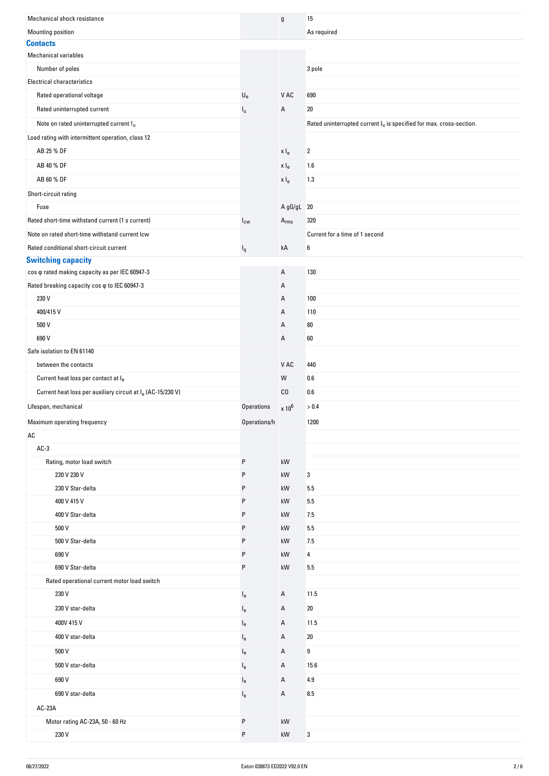| Mechanical shock resistance                                             |                           | g                           | 15                                                                     |
|-------------------------------------------------------------------------|---------------------------|-----------------------------|------------------------------------------------------------------------|
| <b>Mounting position</b>                                                |                           |                             | As required                                                            |
| <b>Contacts</b>                                                         |                           |                             |                                                                        |
| <b>Mechanical variables</b>                                             |                           |                             |                                                                        |
| Number of poles                                                         |                           |                             | 3 pole                                                                 |
| <b>Electrical characteristics</b>                                       |                           |                             |                                                                        |
| Rated operational voltage                                               | $\mathsf{U}_{\mathsf{e}}$ | V AC                        | 690                                                                    |
| Rated uninterrupted current                                             | $I_{\rm u}$               | А                           | 20                                                                     |
| Note on rated uninterrupted current !u                                  |                           |                             | Rated uninterrupted current $I_u$ is specified for max. cross-section. |
| Load rating with intermittent operation, class 12                       |                           |                             |                                                                        |
| AB 25 % DF                                                              |                           | x I <sub>e</sub>            | $\boldsymbol{2}$                                                       |
| AB 40 % DF                                                              |                           | x I <sub>e</sub>            | 1.6                                                                    |
| AB 60 % DF                                                              |                           | x I <sub>e</sub>            | 1.3                                                                    |
| Short-circuit rating                                                    |                           |                             |                                                                        |
| Fuse                                                                    |                           | A gG/gL 20                  |                                                                        |
| Rated short-time withstand current (1 s current)                        | $I_{\text{cw}}$           | $\mathsf{A}_{\mathsf{rms}}$ | 320                                                                    |
| Note on rated short-time withstand current lcw                          |                           |                             | Current for a time of 1 second                                         |
| Rated conditional short-circuit current                                 |                           | kA                          | 6                                                                      |
| <b>Switching capacity</b>                                               | $I_q$                     |                             |                                                                        |
| cos $\varphi$ rated making capacity as per IEC 60947-3                  |                           | А                           | 130                                                                    |
| Rated breaking capacity cos $\varphi$ to IEC 60947-3                    |                           | Α                           |                                                                        |
| 230 V                                                                   |                           | Α                           | 100                                                                    |
| 400/415V                                                                |                           | Α                           | 110                                                                    |
| 500 V                                                                   |                           | Α                           | 80                                                                     |
| 690 V                                                                   |                           | А                           | 60                                                                     |
| Safe isolation to EN 61140                                              |                           |                             |                                                                        |
| between the contacts                                                    |                           | V AC                        | 440                                                                    |
| Current heat loss per contact at le                                     |                           | W                           | 0.6                                                                    |
| Current heat loss per auxiliary circuit at I <sub>e</sub> (AC-15/230 V) |                           | CO                          | 0.6                                                                    |
| Lifespan, mechanical                                                    | <b>Operations</b>         | $\times 10^6$               | > 0.4                                                                  |
|                                                                         |                           |                             |                                                                        |
| Maximum operating frequency<br>AC                                       | Operations/h              |                             | 1200                                                                   |
| $AC-3$                                                                  |                           |                             |                                                                        |
| Rating, motor load switch                                               | P                         | kW                          |                                                                        |
| 220 V 230 V                                                             | P                         | kW                          | 3                                                                      |
| 230 V Star-delta                                                        | P                         | kW                          | 5.5                                                                    |
| 400 V 415 V                                                             | P                         | kW                          | 5.5                                                                    |
| 400 V Star-delta                                                        | P                         | kW                          | 7.5                                                                    |
| 500 V                                                                   | P                         | kW                          | 5.5                                                                    |
| 500 V Star-delta                                                        | P                         | kW                          | 7.5                                                                    |
| 690 V                                                                   | P                         | kW                          | 4                                                                      |
| 690 V Star-delta                                                        | P                         | kW                          | 5.5                                                                    |
| Rated operational current motor load switch                             |                           |                             |                                                                        |
| 230 V                                                                   |                           | Α                           | 11.5                                                                   |
| 230 V star-delta                                                        | $I_{e}$                   |                             |                                                                        |
|                                                                         | $I_{e}$                   | Α                           | 20                                                                     |
| 400V 415 V                                                              | $I_{e}$                   | Α                           | 11.5                                                                   |
| 400 V star-delta                                                        | $I_{e}$                   | Α                           | 20                                                                     |
| 500 V                                                                   | l <sub>e</sub>            | Α                           | 9                                                                      |
| 500 V star-delta                                                        | $I_{e}$                   | Α                           | 15.6                                                                   |
| 690 V                                                                   | $I_{e}$                   | Α                           | 4.9                                                                    |
| 690 V star-delta                                                        |                           |                             |                                                                        |
|                                                                         | $I_{e}$                   | Α                           | 8.5                                                                    |
| AC-23A                                                                  |                           |                             |                                                                        |
| Motor rating AC-23A, 50 - 60 Hz                                         | P                         | kW                          |                                                                        |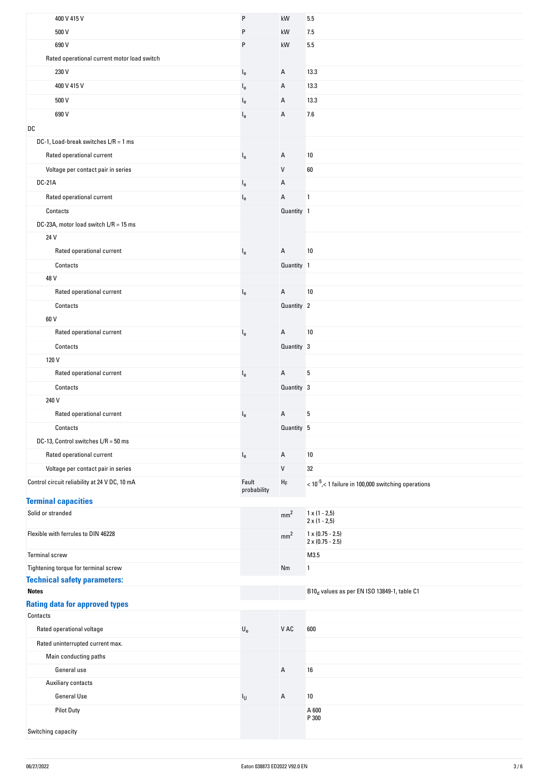| 400 V 415 V                                   | P                         | kW                | 5.5                                                                  |
|-----------------------------------------------|---------------------------|-------------------|----------------------------------------------------------------------|
| 500 V                                         | P                         | kW                | 7.5                                                                  |
| 690 V                                         | P                         | kW                | 5.5                                                                  |
| Rated operational current motor load switch   |                           |                   |                                                                      |
| 230 V                                         | $I_e$                     | A                 | 13.3                                                                 |
| 400 V 415 V                                   | $I_{e}$                   | A                 | 13.3                                                                 |
| 500 V                                         | $I_{e}$                   | Α                 | 13.3                                                                 |
| 690 V                                         | $I_{e}$                   | A                 | 7.6                                                                  |
| DC                                            |                           |                   |                                                                      |
| DC-1, Load-break switches $L/R = 1$ ms        |                           |                   |                                                                      |
|                                               |                           |                   |                                                                      |
| Rated operational current                     | $I_{e}$                   | Α                 | 10                                                                   |
| Voltage per contact pair in series            |                           | $\mathsf{V}$      | 60                                                                   |
| <b>DC-21A</b>                                 | $I_{e}$                   | Α                 |                                                                      |
| Rated operational current                     | $I_{e}$                   | A                 | $\mathbf{1}$                                                         |
| Contacts                                      |                           | Quantity 1        |                                                                      |
| DC-23A, motor load switch L/R = 15 ms         |                           |                   |                                                                      |
| 24 V                                          |                           |                   |                                                                      |
| Rated operational current                     | $I_{e}$                   | A                 | 10                                                                   |
| Contacts                                      |                           | Quantity 1        |                                                                      |
| 48 V                                          |                           |                   |                                                                      |
| Rated operational current                     | $I_{e}$                   | $\mathsf{A}$      | 10                                                                   |
| Contacts                                      |                           | Quantity 2        |                                                                      |
| 60 V                                          |                           |                   |                                                                      |
| Rated operational current                     | $I_e$                     | $\overline{A}$    | $10$                                                                 |
| Contacts                                      |                           | Quantity 3        |                                                                      |
| 120 V                                         |                           |                   |                                                                      |
| Rated operational current                     | $I_{e}$                   | A                 | 5                                                                    |
| Contacts                                      |                           | Quantity 3        |                                                                      |
| 240 V                                         |                           |                   |                                                                      |
| Rated operational current                     |                           | Α                 | 5                                                                    |
|                                               | $I_{e}$                   |                   |                                                                      |
| Contacts                                      |                           | Quantity 5        |                                                                      |
| DC-13, Control switches L/R = 50 ms           |                           |                   |                                                                      |
| Rated operational current                     | $I_{e}$                   | Α                 | 10                                                                   |
| Voltage per contact pair in series            |                           | $\mathsf{V}$      | 32                                                                   |
| Control circuit reliability at 24 V DC, 10 mA | Fault<br>probability      | ${\sf H}_{\sf F}$ | $<$ 10 <sup>-5</sup> , $<$ 1 failure in 100,000 switching operations |
| <b>Terminal capacities</b>                    |                           |                   |                                                                      |
| Solid or stranded                             |                           | mm <sup>2</sup>   | $1 \times (1 - 2.5)$<br>$2 \times (1 - 2.5)$                         |
| Flexible with ferrules to DIN 46228           |                           | mm <sup>2</sup>   | $1 \times (0.75 - 2.5)$<br>$2 \times (0.75 - 2.5)$                   |
| Terminal screw                                |                           |                   | M3.5                                                                 |
| Tightening torque for terminal screw          |                           | Nm                | $\mathbf{1}$                                                         |
| <b>Technical safety parameters:</b>           |                           |                   |                                                                      |
| <b>Notes</b>                                  |                           |                   | B10 <sub>d</sub> values as per EN ISO 13849-1, table C1              |
| <b>Rating data for approved types</b>         |                           |                   |                                                                      |
| Contacts                                      |                           |                   |                                                                      |
| Rated operational voltage                     | $\mathsf{U}_{\mathsf{e}}$ | V AC              | 600                                                                  |
| Rated uninterrupted current max.              |                           |                   |                                                                      |
| Main conducting paths                         |                           |                   |                                                                      |
| General use                                   |                           | A                 | 16                                                                   |
| Auxiliary contacts                            |                           |                   |                                                                      |
| <b>General Use</b>                            | $I_{\mathsf{U}}$          | Α                 | 10                                                                   |
| <b>Pilot Duty</b>                             |                           |                   | A 600<br>P 300                                                       |
| Switching capacity                            |                           |                   |                                                                      |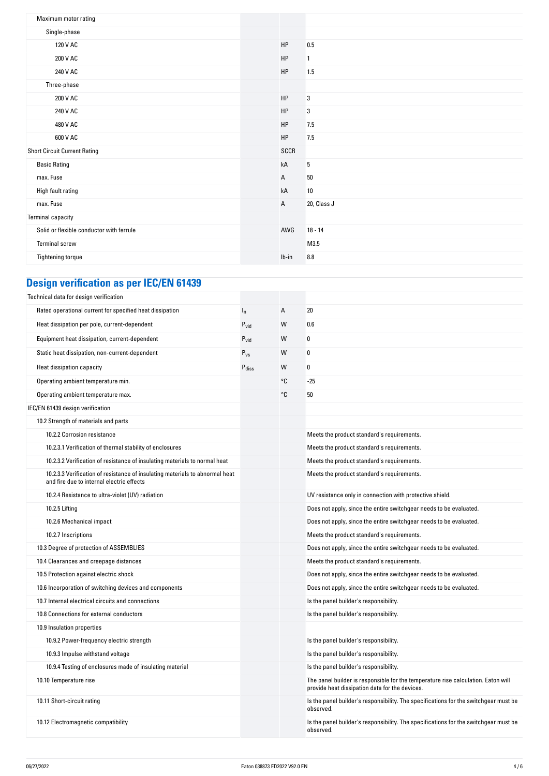| Maximum motor rating                     |              |             |
|------------------------------------------|--------------|-------------|
| Single-phase                             |              |             |
| 120 V AC                                 | HP           | 0.5         |
| 200 V AC                                 | HP           | 1           |
| 240 V AC                                 | HP           | 1.5         |
| Three-phase                              |              |             |
| 200 V AC                                 | HP           | 3           |
| 240 V AC                                 | HP           | 3           |
| 480 V AC                                 | HP           | 7.5         |
| 600 V AC                                 | HP           | 7.5         |
| <b>Short Circuit Current Rating</b>      | SCCR         |             |
| <b>Basic Rating</b>                      | kA           | 5           |
| max. Fuse                                | $\mathsf{A}$ | $50\,$      |
| High fault rating                        | kA           | 10          |
| max. Fuse                                | $\mathsf{A}$ | 20, Class J |
| <b>Terminal capacity</b>                 |              |             |
| Solid or flexible conductor with ferrule | AWG          | $18 - 14$   |
| Terminal screw                           |              | M3.5        |
| Tightening torque                        | $Ib-in$      | 8.8         |

# **Design verification as per IEC/EN 61439**

| Technical data for design verification                                                                                    |                   |    |                                                                                                                                     |
|---------------------------------------------------------------------------------------------------------------------------|-------------------|----|-------------------------------------------------------------------------------------------------------------------------------------|
| Rated operational current for specified heat dissipation                                                                  | $I_n$             | А  | 20                                                                                                                                  |
| Heat dissipation per pole, current-dependent                                                                              | $P_{vid}$         | W  | 0.6                                                                                                                                 |
| Equipment heat dissipation, current-dependent                                                                             | $P_{\text{vid}}$  | W  | 0                                                                                                                                   |
| Static heat dissipation, non-current-dependent                                                                            | $P_{VS}$          | W  | 0                                                                                                                                   |
| Heat dissipation capacity                                                                                                 | $P_{\text{diss}}$ | W  | 0                                                                                                                                   |
| Operating ambient temperature min.                                                                                        |                   | °C | $-25$                                                                                                                               |
| Operating ambient temperature max.                                                                                        |                   | °C | 50                                                                                                                                  |
| IEC/EN 61439 design verification                                                                                          |                   |    |                                                                                                                                     |
| 10.2 Strength of materials and parts                                                                                      |                   |    |                                                                                                                                     |
| 10.2.2 Corrosion resistance                                                                                               |                   |    | Meets the product standard's requirements.                                                                                          |
| 10.2.3.1 Verification of thermal stability of enclosures                                                                  |                   |    | Meets the product standard's requirements.                                                                                          |
| 10.2.3.2 Verification of resistance of insulating materials to normal heat                                                |                   |    | Meets the product standard's requirements.                                                                                          |
| 10.2.3.3 Verification of resistance of insulating materials to abnormal heat<br>and fire due to internal electric effects |                   |    | Meets the product standard's requirements.                                                                                          |
| 10.2.4 Resistance to ultra-violet (UV) radiation                                                                          |                   |    | UV resistance only in connection with protective shield.                                                                            |
| 10.2.5 Lifting                                                                                                            |                   |    | Does not apply, since the entire switchgear needs to be evaluated.                                                                  |
| 10.2.6 Mechanical impact                                                                                                  |                   |    | Does not apply, since the entire switchgear needs to be evaluated.                                                                  |
| 10.2.7 Inscriptions                                                                                                       |                   |    | Meets the product standard's requirements.                                                                                          |
| 10.3 Degree of protection of ASSEMBLIES                                                                                   |                   |    | Does not apply, since the entire switchgear needs to be evaluated.                                                                  |
| 10.4 Clearances and creepage distances                                                                                    |                   |    | Meets the product standard's requirements.                                                                                          |
| 10.5 Protection against electric shock                                                                                    |                   |    | Does not apply, since the entire switchgear needs to be evaluated.                                                                  |
| 10.6 Incorporation of switching devices and components                                                                    |                   |    | Does not apply, since the entire switchgear needs to be evaluated.                                                                  |
| 10.7 Internal electrical circuits and connections                                                                         |                   |    | Is the panel builder's responsibility.                                                                                              |
| 10.8 Connections for external conductors                                                                                  |                   |    | Is the panel builder's responsibility.                                                                                              |
| 10.9 Insulation properties                                                                                                |                   |    |                                                                                                                                     |
| 10.9.2 Power-frequency electric strength                                                                                  |                   |    | Is the panel builder's responsibility.                                                                                              |
| 10.9.3 Impulse withstand voltage                                                                                          |                   |    | Is the panel builder's responsibility.                                                                                              |
| 10.9.4 Testing of enclosures made of insulating material                                                                  |                   |    | Is the panel builder's responsibility.                                                                                              |
| 10.10 Temperature rise                                                                                                    |                   |    | The panel builder is responsible for the temperature rise calculation. Eaton will<br>provide heat dissipation data for the devices. |
| 10.11 Short-circuit rating                                                                                                |                   |    | Is the panel builder's responsibility. The specifications for the switchgear must be<br>observed.                                   |
| 10.12 Electromagnetic compatibility                                                                                       |                   |    | Is the panel builder's responsibility. The specifications for the switchgear must be<br>observed.                                   |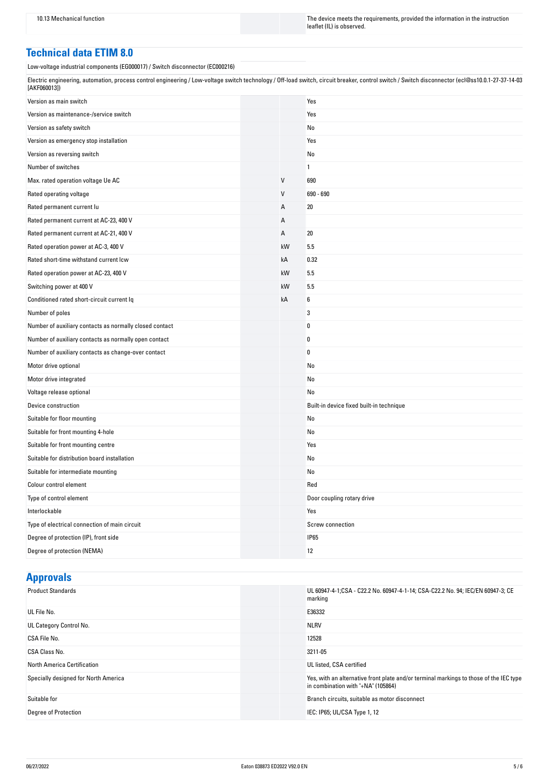10.13 Mechanical function The instruction The device meets the requirements, provided the information in the instruction leaflet (IL) is observed.

#### **Technical data ETIM 8.0**

Low-voltage industrial components (EG000017) / Switch disconnector (EC000216)

Electric engineering, automation, process control engineering / Low-voltage switch technology / Off-load switch, circuit breaker, control switch / Switch disconnector (ecl@ss10.0.1-27-37-14-03 [AKF060013])

| Version as main switch                                  |    | Yes                                      |
|---------------------------------------------------------|----|------------------------------------------|
| Version as maintenance-/service switch                  |    | Yes                                      |
| Version as safety switch                                |    | No                                       |
| Version as emergency stop installation                  |    | Yes                                      |
| Version as reversing switch                             |    | No                                       |
| Number of switches                                      |    | 1                                        |
| Max. rated operation voltage Ue AC                      | V  | 690                                      |
| Rated operating voltage                                 | V  | 690 - 690                                |
| Rated permanent current lu                              | A  | 20                                       |
| Rated permanent current at AC-23, 400 V                 | А  |                                          |
| Rated permanent current at AC-21, 400 V                 | Α  | 20                                       |
| Rated operation power at AC-3, 400 V                    | kW | 5.5                                      |
| Rated short-time withstand current Icw                  | kA | 0.32                                     |
| Rated operation power at AC-23, 400 V                   | kW | 5.5                                      |
| Switching power at 400 V                                | kW | 5.5                                      |
| Conditioned rated short-circuit current Iq              | kA | 6                                        |
| Number of poles                                         |    | 3                                        |
| Number of auxiliary contacts as normally closed contact |    | 0                                        |
| Number of auxiliary contacts as normally open contact   |    | 0                                        |
| Number of auxiliary contacts as change-over contact     |    | $\bf{0}$                                 |
| Motor drive optional                                    |    | No                                       |
| Motor drive integrated                                  |    | No                                       |
| Voltage release optional                                |    | No                                       |
| Device construction                                     |    | Built-in device fixed built-in technique |
| Suitable for floor mounting                             |    | No                                       |
| Suitable for front mounting 4-hole                      |    | No                                       |
| Suitable for front mounting centre                      |    | Yes                                      |
| Suitable for distribution board installation            |    | No                                       |
| Suitable for intermediate mounting                      |    | No                                       |
| Colour control element                                  |    | Red                                      |
| Type of control element                                 |    | Door coupling rotary drive               |
| Interlockable                                           |    | Yes                                      |
| Type of electrical connection of main circuit           |    | Screw connection                         |
| Degree of protection (IP), front side                   |    | <b>IP65</b>                              |
| Degree of protection (NEMA)                             |    | 12                                       |

# **Approvals**

| <b>Product Standards</b>             | UL 60947-4-1;CSA - C22.2 No. 60947-4-1-14; CSA-C22.2 No. 94; IEC/EN 60947-3; CE<br>marking                                   |
|--------------------------------------|------------------------------------------------------------------------------------------------------------------------------|
| UL File No.                          | E36332                                                                                                                       |
| UL Category Control No.              | <b>NLRV</b>                                                                                                                  |
| CSA File No.                         | 12528                                                                                                                        |
| CSA Class No.                        | 3211-05                                                                                                                      |
| North America Certification          | UL listed, CSA certified                                                                                                     |
| Specially designed for North America | Yes, with an alternative front plate and/or terminal markings to those of the IEC type<br>in combination with "+NA" (105864) |
| Suitable for                         | Branch circuits, suitable as motor disconnect                                                                                |
| Degree of Protection                 | IEC: IP65; UL/CSA Type 1, 12                                                                                                 |